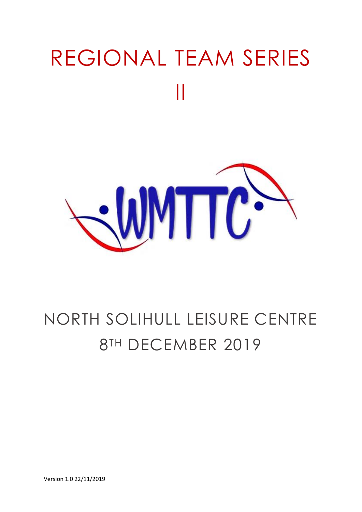# REGIONAL TEAM SERIES II



### NORTH SOLIHULL LEISURE CENTRE 8TH DECEMBER 2019

Version 1.0 22/11/2019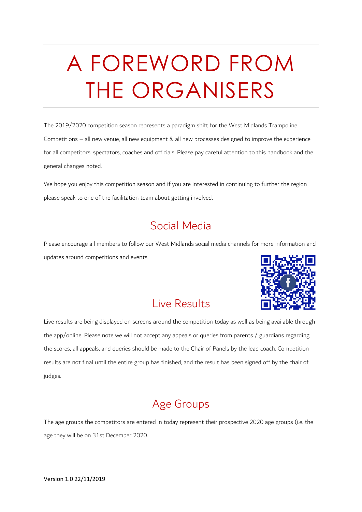# A FOREWORD FROM THE ORGANISERS

The 2019/2020 competition season represents a paradigm shift for the West Midlands Trampoline Competitions – all new venue, all new equipment & all new processes designed to improve the experience for all competitors, spectators, coaches and officials. Please pay careful attention to this handbook and the general changes noted.

We hope you enjoy this competition season and if you are interested in continuing to further the region please speak to one of the facilitation team about getting involved.

#### Social Media

Please encourage all members to follow our West Midlands social media channels for more information and updates around competitions and events.

#### Live Results

Live results are being displayed on screens around the competition today as well as being available through the app/online. Please note we will not accept any appeals or queries from parents / guardians regarding the scores, all appeals, and queries should be made to the Chair of Panels by the lead coach. Competition results are not final until the entire group has finished, and the result has been signed off by the chair of judges.

#### Age Groups

The age groups the competitors are entered in today represent their prospective 2020 age groups (i.e. the age they will be on 31st December 2020.

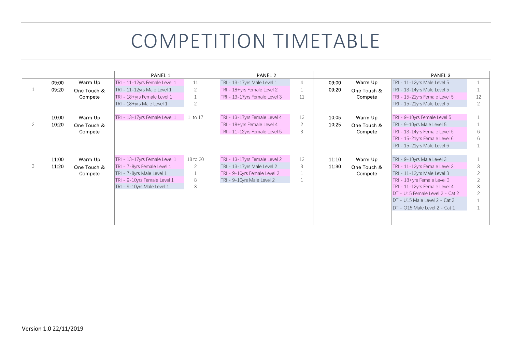### COMPETITION TIMETABLE

|   |       |             | <b>PANEL 1</b>                |                | PANEL 2                       |                |       |             | PANEL <sub>3</sub>              |                          |
|---|-------|-------------|-------------------------------|----------------|-------------------------------|----------------|-------|-------------|---------------------------------|--------------------------|
|   | 09:00 | Warm Up     | TRI - 11-12yrs Female Level 1 | 11             | TRI - 13-17yrs Male Level 1   | $\overline{4}$ | 09:00 | Warm Up     | TRI - 11-12yrs Male Level 5     |                          |
|   | 09:20 | One Touch & | TRI - 11-12yrs Male Level 1   | 2              | TRI - 18+yrs Female Level 2   |                | 09:20 | One Touch & | TRI - 13-14yrs Male Level 5     |                          |
|   |       | Compete     | TRI - 18+yrs Female Level 1   |                | TRI - 13-17yrs Female Level 3 | 11             |       | Compete     | TRI - 15-21yrs Female Level 5   | 12                       |
|   |       |             | TRI - 18+yrs Male Level 1     | $\overline{2}$ |                               |                |       |             | TRI - 15-21yrs Male Level 5     | 2                        |
|   |       |             |                               |                |                               |                |       |             |                                 |                          |
|   | 10:00 | Warm Up     | TRI - 13-17yrs Female Level 1 | 1 to 17        | TRI - 13-17yrs Female Level 4 | 13             | 10:05 | Warm Up     | TRI - 9-10yrs Female Level 5    |                          |
| 2 | 10:20 | One Touch & |                               |                | TRI - 18+yrs Female Level 4   | 2              | 10:25 | One Touch & | TRI - 9-10yrs Male Level 5      |                          |
|   |       | Compete     |                               |                | TRI - 11-12yrs Female Level 5 | 3              |       | Compete     | TRI - 13-14yrs Female Level 5   | 6                        |
|   |       |             |                               |                |                               |                |       |             | TRI - 15-21yrs Female Level 6   | 6                        |
|   |       |             |                               |                |                               |                |       |             | TRI - 15-21yrs Male Level 6     |                          |
|   |       |             |                               |                |                               |                |       |             |                                 |                          |
|   | 11:00 | Warm Up     | TRI - 13-17yrs Female Level 1 | 18 to 20       | TRI - 13-17yrs Female Level 2 | 12             | 11:10 | Warm Up     | TRI - 9-10yrs Male Level 3      |                          |
| 3 | 11:20 | One Touch & | TRI - 7-8yrs Female Level 1   | 2              | TRI - 13-17yrs Male Level 2   | 3              | 11:30 | One Touch & | TRI - 11-12yrs Female Level 3   | 3                        |
|   |       | Compete     | TRI - 7-8yrs Male Level 1     |                | TRI - 9-10yrs Female Level 2  |                |       | Compete     | TRI - 11-12yrs Male Level 3     | $\overline{2}$           |
|   |       |             | TRI - 9-10yrs Female Level 1  | 8              | TRI - 9-10yrs Male Level 2    |                |       |             | TRI - 18+yrs Female Level 3     | $\overline{\phantom{0}}$ |
|   |       |             | TRI - 9-10yrs Male Level 1    | 3              |                               |                |       |             | TRI - 11-12yrs Female Level 4   | 3                        |
|   |       |             |                               |                |                               |                |       |             | DT - U15 Female Level 2 - Cat 2 | $\overline{2}$           |
|   |       |             |                               |                |                               |                |       |             | DT - U15 Male Level 2 - Cat 2   |                          |
|   |       |             |                               |                |                               |                |       |             | DT - 015 Male Level 2 - Cat 1   |                          |
|   |       |             |                               |                |                               |                |       |             |                                 |                          |
|   |       |             |                               |                |                               |                |       |             |                                 |                          |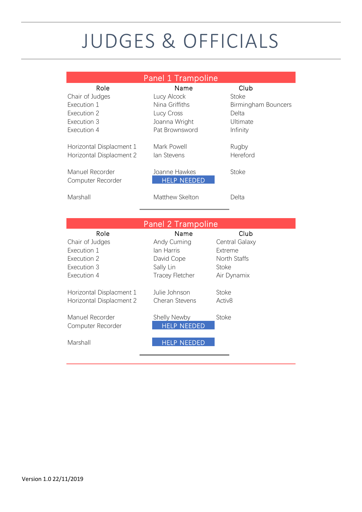### JUDGES & OFFICIALS

|                                                                                     | <b>Panel 1 Trampoline</b>                                                              |                                                                           |
|-------------------------------------------------------------------------------------|----------------------------------------------------------------------------------------|---------------------------------------------------------------------------|
| Role<br>Chair of Judges<br>Execution 1<br>Execution 2<br>Execution 3<br>Execution 4 | Name<br>Lucy Alcock<br>Nina Griffiths<br>Lucy Cross<br>Joanna Wright<br>Pat Brownsword | Club<br>Stoke<br>Birmingham Bouncers<br>Delta<br>Ultimate<br>Infinity     |
| Horizontal Displacment 1<br>Horizontal Displacment 2                                | Mark Powell<br>lan Stevens                                                             | Rugby<br>Hereford                                                         |
| Manuel Recorder<br>Computer Recorder                                                | Joanne Hawkes<br><b>HELP NEEDED</b>                                                    | Stoke                                                                     |
| Marshall                                                                            | Matthew Skelton                                                                        | Delta                                                                     |
|                                                                                     | Panel 2 Trampoline                                                                     |                                                                           |
| Role<br>Chair of Judges<br>Execution 1<br>Execution 2<br>Execution 3<br>Execution 4 | Name<br>Andy Cuming<br>lan Harris<br>David Cope<br>Sally Lin<br><b>Tracey Fletcher</b> | Club<br>Central Galaxy<br>Extreme<br>North Staffs<br>Stoke<br>Air Dynamix |
| Horizontal Displacment 1<br>Horizontal Displacment 2                                | Julie Johnson<br>Cheran Stevens                                                        | Stoke<br>Activ <sub>8</sub>                                               |
| Manuel Recorder<br>Computer Recorder<br>Marshall                                    | Shelly Newby<br><b>HELP NEEDED</b><br><b>HELP NEEDED</b>                               | Stoke                                                                     |
|                                                                                     |                                                                                        |                                                                           |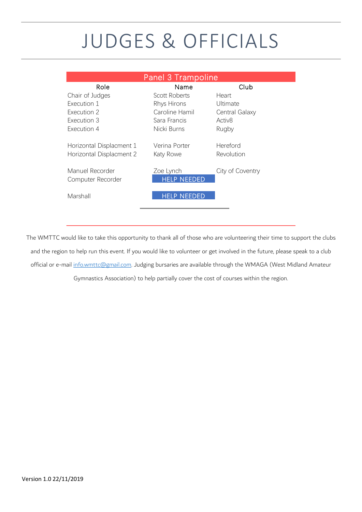### JUDGES & OFFICIALS

|                                                      | Panel 3 Trampoline              |                        |
|------------------------------------------------------|---------------------------------|------------------------|
| Role                                                 | Name                            | Club                   |
| Chair of Judges                                      | Scott Roberts                   | Heart                  |
| Execution 1                                          | Rhys Hirons                     | Ultimate               |
| Execution 2                                          | Caroline Hamil                  | Central Galaxy         |
| Execution 3                                          | Sara Francis                    | Activ <sub>8</sub>     |
| Execution 4                                          | Nicki Burns                     | Rugby                  |
| Horizontal Displacment 1<br>Horizontal Displacment 2 | Verina Porter<br>Katy Rowe      | Hereford<br>Revolution |
| Manuel Recorder<br>Computer Recorder                 | Zoe Lynch<br><b>HELP NEEDED</b> | City of Coventry       |
| Marshall                                             | HFI P NFFDFD                    |                        |

The WMTTC would like to take this opportunity to thank all of those who are volunteering their time to support the clubs and the region to help run this event. If you would like to volunteer or get involved in the future, please speak to a club official or e-mail [info.wmttc@gmail.com.](mailto:info.wmttc@gmail.com) Judging bursaries are available through the WMAGA (West Midland Amateur

Gymnastics Association) to help partially cover the cost of courses within the region.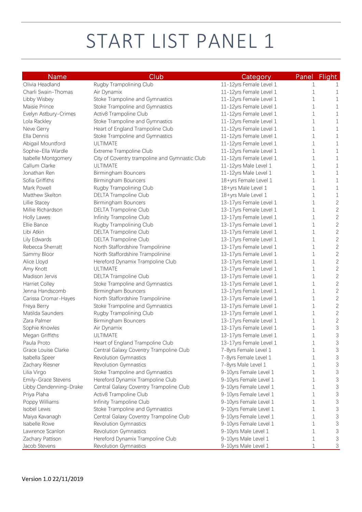# START LIST PANEL 1

| <b>Name</b>             | Club                                           | Category                | Panel Flight        |
|-------------------------|------------------------------------------------|-------------------------|---------------------|
| Olivia Headland         | Rugby Trampolining Club                        | 11-12yrs Female Level 1 | 1                   |
| Charli Swain-Thomas     | Air Dynamix                                    | 11-12yrs Female Level 1 | 1<br>1              |
| Libby Wisbey            | Stoke Trampoline and Gymnastics                | 11-12yrs Female Level 1 | 1<br>1              |
| Maisie Prince           | Stoke Trampoline and Gymnastics                | 11-12yrs Female Level 1 | 1<br>1              |
| Evelyn Astbury-Crimes   | Activ8 Trampoline Club                         | 11-12yrs Female Level 1 | 1<br>1              |
| Lola Rackley            | Stoke Trampoline and Gymnastics                | 11-12yrs Female Level 1 | 1<br>1              |
| Neve Gerry              | Heart of England Trampoline Club               | 11-12yrs Female Level 1 | 1<br>1              |
| Ella Dennis             | Stoke Trampoline and Gymnastics                | 11-12yrs Female Level 1 | 1<br>1              |
| Abigail Mountford       | <b>ULTIMATE</b>                                | 11-12yrs Female Level 1 | 1<br>1              |
| Sophie-Ella Wardle      | Extreme Trampoline Club                        | 11-12yrs Female Level 1 | 1<br>1              |
| Isabelle Montgomery     | City of Coventry trampoline and Gymnastic Club | 11-12yrs Female Level 1 | 1<br>1              |
| Callum Clarke           | <b>ULTIMATE</b>                                | 11-12yrs Male Level 1   | 1<br>1              |
| Jonathan Ren            | Birmingham Bouncers                            | 11-12yrs Male Level 1   | 1<br>1              |
| Sofia Griffiths         | Birmingham Bouncers                            | 18+yrs Female Level 1   | 1<br>1              |
| Mark Powell             | Rugby Trampolining Club                        | 18+yrs Male Level 1     | 1<br>1              |
| Matthew Skelton         | <b>DELTA Trampoline Club</b>                   | 18+yrs Male Level 1     | 1<br>1              |
| Lillie Stacey           | Birmingham Bouncers                            | 13-17yrs Female Level 1 | $\overline{c}$<br>1 |
| Millie Richardson       | <b>DELTA Trampoline Club</b>                   | 13-17yrs Female Level 1 | $\overline{c}$<br>1 |
| Holly Lawes             | Infinity Trampoline Club                       | 13-17yrs Female Level 1 | $\overline{c}$<br>1 |
| Ellie Bance             | Rugby Trampolining Club                        | 13-17yrs Female Level 1 | $\overline{c}$<br>1 |
| Libi Atkin              | DELTA Trampoline Club                          | 13-17yrs Female Level 1 | $\overline{c}$<br>1 |
| Lily Edwards            | DELTA Trampoline Club                          | 13-17yrs Female Level 1 | $\overline{c}$<br>1 |
| Rebecca Sherratt        | North Staffordshire Trampolinine               | 13-17yrs Female Level 1 | $\overline{c}$<br>1 |
| Sammy Bloor             | North Staffordshire Trampolinine               | 13-17yrs Female Level 1 | $\overline{c}$<br>1 |
| Alice Lloyd             | Hereford Dynamix Trampoline Club               | 13-17yrs Female Level 1 | $\overline{c}$<br>1 |
| Amy Knott               | ULTIMATE                                       | 13-17yrs Female Level 1 | $\overline{c}$<br>1 |
| Madison Jervis          | DELTA Trampoline Club                          | 13-17yrs Female Level 1 | $\overline{c}$<br>1 |
| <b>Harriet Colley</b>   | Stoke Trampoline and Gymnastics                | 13-17yrs Female Level 1 | $\overline{c}$<br>1 |
| Jenna Handscomb         | Birmingham Bouncers                            | 13-17yrs Female Level 1 | $\overline{c}$<br>1 |
| Carissa Cromar-Hayes    | North Staffordshire Trampolinine               | 13-17yrs Female Level 1 | $\overline{c}$<br>1 |
| Freya Berry             | Stoke Trampoline and Gymnastics                | 13-17yrs Female Level 1 | $\overline{c}$<br>1 |
| Matilda Saunders        | Rugby Trampolining Club                        | 13-17yrs Female Level 1 | $\overline{c}$<br>1 |
| Zara Palmer             | Birmingham Bouncers                            | 13-17yrs Female Level 1 | $\overline{c}$<br>1 |
| Sophie Knowles          | Air Dynamix                                    | 13-17yrs Female Level 1 | 3<br>1              |
| Megan Griffiths         | ULTIMATE                                       | 13-17yrs Female Level 1 | 3<br>1              |
| Paula Proto             | Heart of England Trampoline Club               | 13-17yrs Female Level 1 | 3<br>1              |
| Grace Louise Clarke     | Central Galaxy Coventry Trampoline Club        | 7-8yrs Female Level 1   | 3<br>1              |
| Isabella Speer          | Revolution Gymnastics                          | 7-8yrs Female Level 1   | 3<br>1              |
| Zachary Riesner         | Revolution Gymnastics                          | 7-8yrs Male Level 1     | 3<br>1              |
| Lilia Virgo             | Stoke Trampoline and Gymnastics                | 9-10yrs Female Level 1  | 3<br>1              |
| Emily-Grace Stevens     | Hereford Dynamix Trampoline Club               | 9-10yrs Female Level 1  | 3<br>1              |
| Libby Clendenning-Drake | Central Galaxy Coventry Trampoline Club        | 9-10yrs Female Level 1  | 3<br>1              |
| Priya Plaha             | Activ8 Trampoline Club                         | 9-10yrs Female Level 1  | 3<br>1              |
| Poppy Williams          | Infinity Trampoline Club                       | 9-10yrs Female Level 1  | 3<br>1              |
| Isobel Lewis            | Stoke Trampoline and Gymnastics                | 9-10yrs Female Level 1  | 3<br>1              |
| Maiya Kavanagh          | Central Galaxy Coventry Trampoline Club        | 9-10yrs Female Level 1  | 3<br>1              |
| Isabelle Rowe           | Revolution Gymnastics                          | 9-10yrs Female Level 1  | 3<br>1              |
| Lawrence Scanlon        | Revolution Gymnastics                          | 9-10yrs Male Level 1    | 3<br>1              |
| Zachary Pattison        | Hereford Dynamix Trampoline Club               | 9-10yrs Male Level 1    | 3<br>1              |
| Jacob Stevens           | Revolution Gymnastics                          | 9-10yrs Male Level 1    | 3<br>1              |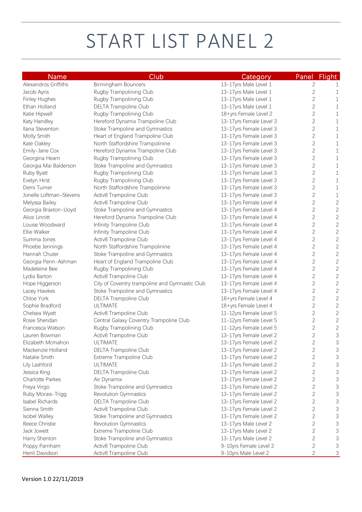# START LIST PANEL 2

| <b>Name</b>                            | Club                                           | Category                |                | Panel Flight   |
|----------------------------------------|------------------------------------------------|-------------------------|----------------|----------------|
| Alexandros Griffiths                   | Birmingham Bouncers                            | 13-17yrs Male Level 1   | $\mathbf{2}$   | 1              |
| Jacob Ayris                            | Rugby Trampolining Club                        | 13-17yrs Male Level 1   | $\sqrt{2}$     | 1              |
| Finley Hughes                          | Rugby Trampolining Club                        | 13-17yrs Male Level 1   | $\sqrt{2}$     | $\mathbf 1$    |
| Ethan Holland                          | DELTA Trampoline Club                          | 13-17yrs Male Level 1   | $\sqrt{2}$     | $\,1\,$        |
| Katie Hipwell                          | Rugby Trampolining Club                        | 18+yrs Female Level 2   | $\overline{c}$ | $\,1\,$        |
| Katy Handley                           | Hereford Dynamix Trampoline Club               | 13-17yrs Female Level 3 | $\sqrt{2}$     | $1\,$          |
| Ilana Steventon                        | Stoke Trampoline and Gymnastics                | 13-17yrs Female Level 3 | $\sqrt{2}$     | $1\,$          |
| Molly Smith                            | Heart of England Trampoline Club               | 13-17yrs Female Level 3 | $\mathbf{2}$   | $1\,$          |
| Kate Oakley                            | North Staffordshire Trampolinine               | 13-17yrs Female Level 3 | 2              | 1              |
| Emily-Jane Cox                         | Hereford Dynamix Trampoline Club               | 13-17yrs Female Level 3 | 2              | $\mathbf 1$    |
| Georgina Hearn                         | Rugby Trampolining Club                        | 13-17yrs Female Level 3 | 2              | $\mathbf 1$    |
| Georgia Mai Balderson                  | Stoke Trampoline and Gymnastics                | 13-17yrs Female Level 3 | 2              | $\mathbf 1$    |
| Ruby Byatt                             | Rugby Trampolining Club                        | 13-17yrs Female Level 3 | $\mathbf{2}$   | $1\,$          |
| Evelyn Hirst                           | Rugby Trampolining Club                        | 13-17yrs Female Level 3 | $\overline{c}$ | $\mathbf 1$    |
| Demi Turner                            | North Staffordshire Trampolinine               | 13-17yrs Female Level 3 | $\overline{c}$ | $\mathbf 1$    |
| Jonelle Loftman-Stevens                | Activ8 Trampoline Club                         | 13-17yrs Female Level 3 | $\overline{c}$ | $\mathbf 1$    |
| Melyssa Bailey                         | Activ8 Trampoline Club                         | 13-17yrs Female Level 4 | $\mathbf{2}$   | $\mathbf{2}$   |
| Georgia Braxton-Lloyd                  | Stoke Trampoline and Gymnastics                | 13-17yrs Female Level 4 | $\mathbf{2}$   | $\mathbf{2}$   |
| Alice Linnitt                          | Hereford Dynamix Trampoline Club               | 13-17yrs Female Level 4 | $\mathbf{2}$   | $\mathbf{2}$   |
| Louise Woodward                        | Infinity Trampoline Club                       | 13-17yrs Female Level 4 | $\overline{c}$ | $\overline{c}$ |
| Ellie Walker                           | Infinity Trampoline Club                       | 13-17yrs Female Level 4 | $\overline{c}$ | $\overline{c}$ |
| Summa Jones                            | Activ8 Trampoline Club                         | 13-17yrs Female Level 4 | $\overline{c}$ | $\overline{c}$ |
| Phoebe Jennings                        | North Staffordshire Trampolinine               | 13-17yrs Female Level 4 | $\overline{c}$ | $\overline{c}$ |
| Hannah Chuter                          | Stoke Trampoline and Gymnastics                | 13-17yrs Female Level 4 | $\overline{c}$ | $\overline{c}$ |
| Georgia Penn-Ashman                    | Heart of England Trampoline Club               | 13-17yrs Female Level 4 | $\sqrt{2}$     | $\overline{c}$ |
| Madeleine Bee                          | Rugby Trampolining Club                        | 13-17yrs Female Level 4 | $\overline{c}$ | $\overline{c}$ |
| Lydia Barton                           | Activ8 Trampoline Club                         | 13-17yrs Female Level 4 | $\overline{c}$ | $\overline{c}$ |
| Hope Higgerson                         | City of Coventry trampoline and Gymnastic Club | 13-17yrs Female Level 4 | $\overline{c}$ | $\overline{c}$ |
| Lacey Hawkes                           | Stoke Trampoline and Gymnastics                | 13-17yrs Female Level 4 | $\overline{c}$ | $\overline{c}$ |
| Chloe York                             | DELTA Trampoline Club                          | 18+yrs Female Level 4   | $\overline{c}$ | $\overline{c}$ |
| <b>ULTIMATE</b><br>Sophie Bradford     |                                                | 18+yrs Female Level 4   | $\mathbf{2}$   | $\overline{c}$ |
| Chelsea Wyatt                          | Activ8 Trampoline Club                         | 11-12yrs Female Level 5 | $\mathbf{2}$   | $\overline{c}$ |
| Rosie Sheridan                         | Central Galaxy Coventry Trampoline Club        | 11-12yrs Female Level 5 | $\mathbf{2}$   | $\overline{c}$ |
| Francesca Watson                       | Rugby Trampolining Club                        | 11-12yrs Female Level 5 | $\sqrt{2}$     | $\sqrt{2}$     |
| Lauren Bowman                          | Activ8 Trampoline Club                         | 13-17yrs Female Level 2 | $\overline{c}$ | 3              |
| ULTIMATE<br>Elizabeth Mcmahon          |                                                | 13-17yrs Female Level 2 | $\overline{c}$ | $\sqrt{3}$     |
| Mackenzie Holland                      | DELTA Trampoline Club                          | 13-17yrs Female Level 2 | $\mathbf{2}$   | 3              |
| Natalie Smith                          | Extreme Trampoline Club                        | 13-17yrs Female Level 2 | $\mathbf{2}$   | 3              |
| Lily Lashford<br>ULTIMATE              |                                                | 13-17yrs Female Level 2 | $\mathbf{2}$   | 3              |
| Jessica King                           | DELTA Trampoline Club                          | 13-17yrs Female Level 2 | $\mathbf{2}$   | 3              |
| <b>Charlotte Parkes</b><br>Air Dynamix |                                                | 13-17yrs Female Level 2 | $\overline{c}$ | 3              |
| Freya Virgo                            | Stoke Trampoline and Gymnastics                | 13-17yrs Female Level 2 | $\mathbf{2}$   | 3              |
| Ruby Morais-Trigg                      | Revolution Gymnastics                          | 13-17yrs Female Level 2 | $\overline{c}$ | 3              |
| Isabel Richards                        | DELTA Trampoline Club                          | 13-17yrs Female Level 2 | $\overline{c}$ | 3              |
| Sienna Smith                           | Activ8 Trampoline Club                         | 13-17yrs Female Level 2 | $\mathbf{2}$   | 3              |
| Isobel Walley                          | Stoke Trampoline and Gymnastics                | 13-17yrs Female Level 2 | $\overline{c}$ | 3              |
| Reece Christie                         | Revolution Gymnastics                          | 13-17yrs Male Level 2   | $\overline{c}$ | 3              |
| Jack Jowett                            | Extreme Trampoline Club                        | 13-17yrs Male Level 2   | $\mathbf{2}$   | 3              |
| Harry Shenton                          | Stoke Trampoline and Gymnastics                | 13-17yrs Male Level 2   | $\mathbf{2}$   | 3              |
| Poppy Parnham                          | Activ8 Trampoline Club                         | 9-10yrs Female Level 2  | $\mathbf{2}$   | 3              |
| Henli Davidson                         | Activ8 Trampoline Club                         | 9-10yrs Male Level 2    | $\overline{c}$ | 3              |